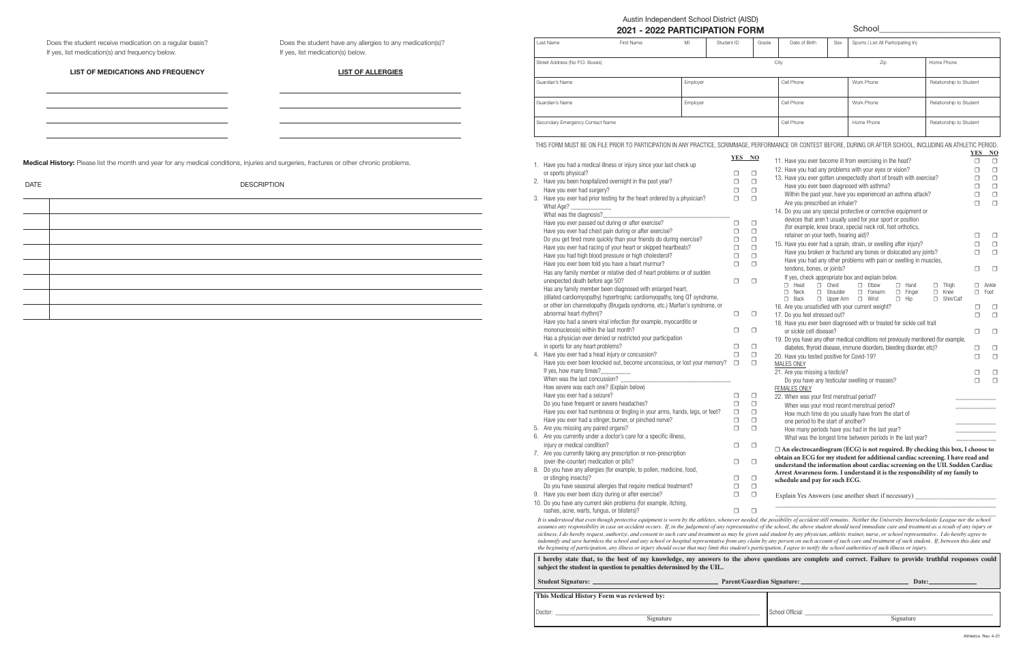|      | Austin Independent School District (AISD) |
|------|-------------------------------------------|
| "^^^ | <b>COOO DA DEIQIDATIQNI FODN</b>          |

|           | $\overline{1}$ would mapped about borroof biotrict (Thop)<br>2021 - 2022 PARTICIPATION FORM                                                                       |          |             |                  |                                                                   |                                       | School                                                                                                                          |                         |             |                  |
|-----------|-------------------------------------------------------------------------------------------------------------------------------------------------------------------|----------|-------------|------------------|-------------------------------------------------------------------|---------------------------------------|---------------------------------------------------------------------------------------------------------------------------------|-------------------------|-------------|------------------|
| Last Name | First Name                                                                                                                                                        | MI       | Student ID  | Grade            | Date of Birth                                                     | Sex                                   | Sports (List All Participating In)                                                                                              |                         |             |                  |
|           | Street Address (No P.O. Boxes)                                                                                                                                    |          |             |                  | City                                                              |                                       | Zip                                                                                                                             | Home Phone              |             |                  |
|           | Guardian's Name                                                                                                                                                   | Employer |             |                  | Cell Phone                                                        |                                       | Work Phone                                                                                                                      | Relationship to Student |             |                  |
|           | Guardian's Name                                                                                                                                                   | Employer |             |                  | Cell Phone                                                        |                                       | Work Phone                                                                                                                      | Relationship to Student |             |                  |
|           | Secondary Emergency Contact Name                                                                                                                                  |          |             |                  | Cell Phone                                                        |                                       | Home Phone                                                                                                                      | Relationship to Student |             |                  |
|           | THIS FORM MUST BE ON FILE PRIOR TO PARTICIPATION IN ANY PRACTICE, SCRIMMAGE, PERFORMANCE OR CONTEST BEFORE, DURING OR AFTER SCHOOL, INCLUDING AN ATHLETIC PERIOD. |          |             |                  |                                                                   |                                       |                                                                                                                                 |                         | <b>YES</b>  | N <sub>0</sub>   |
|           | 1. Have you had a medical illness or injury since your last check up                                                                                              |          | YES NO      |                  |                                                                   |                                       | 11. Have you ever become ill from exercising in the heat?                                                                       |                         | □           | $\Box$           |
|           | or sports physical?<br>2. Have you been hospitalized overnight in the past year?                                                                                  |          | □<br>$\Box$ | $\Box$<br>$\Box$ |                                                                   |                                       | 12. Have you had any problems with your eyes or vision?<br>13. Have you ever gotten unexpectedly short of breath with exercise? |                         | $\Box$<br>□ | $\Box$<br>$\Box$ |
|           | Have you ever had surgery?                                                                                                                                        |          | □           | $\Box$           |                                                                   |                                       | Have you ever been diagnosed with asthma?                                                                                       |                         | □           | $\Box$           |
|           | 3. Have you ever had prior testing for the heart ordered by a physician?                                                                                          |          | $\Box$      | $\Box$           | Within the past year, have you experienced an asthma attack?<br>□ |                                       |                                                                                                                                 |                         |             | $\Box$           |
|           | What Age?                                                                                                                                                         |          |             |                  |                                                                   | Are you prescribed an inhaler?        |                                                                                                                                 |                         | $\Box$      | $\Box$           |
|           | What was the diagnosis?                                                                                                                                           |          |             |                  |                                                                   |                                       | 14. Do you use any special protective or corrective equipment or                                                                |                         |             |                  |
|           | Have you ever passed out during or after exercise?                                                                                                                |          | $\Box$      | $\Box$           |                                                                   |                                       | devices that aren't usually used for your sport or position                                                                     |                         |             |                  |
|           | Have you ever had chest pain during or after exercise?                                                                                                            |          | □           | $\Box$           |                                                                   | retainer on your teeth, hearing aid)? | (for example, knee brace, special neck roll, foot orthotics,                                                                    |                         | □           | $\Box$           |
|           | Do you get tired more quickly than your friends do during exercise?                                                                                               |          | $\Box$      | $\Box$           |                                                                   |                                       |                                                                                                                                 |                         |             |                  |
|           | Have you ever had racing of your heart or skipped heartbeats?                                                                                                     |          | □           | $\Box$           |                                                                   |                                       | 15. Have you ever had a sprain, strain, or swelling after injury?                                                               |                         | □           | $\Box$           |
|           | Have you had high blood pressure or high cholesterol?                                                                                                             |          | □           | $\Box$           |                                                                   |                                       | Have you broken or fractured any bones or dislocated any joints?                                                                |                         | $\Box$      | $\Box$           |
|           | Have you ever been told you have a heart murmur?                                                                                                                  |          | $\Box$      | $\Box$           |                                                                   |                                       | Have you had any other problems with pain or swelling in muscles,                                                               |                         |             |                  |
|           | Has any family member or relative died of heart problems or of sudden                                                                                             |          |             |                  |                                                                   | tendons, bones, or joints?            |                                                                                                                                 |                         | □           | $\Box$           |
|           | unexpected death before age 50?                                                                                                                                   |          | $\Box$      | $\Box$           | $\Box$ Head                                                       | $\Box$ Chest                          | If yes, check appropriate box and explain below.<br>$\square$ Elbow<br>$\Box$ Hand                                              | $\Box$ Thigh            | $\Box$      | Ankle            |
|           | Has any family member been diagnosed with enlarged heart,                                                                                                         |          |             |                  | $\Box$ Neck                                                       | □ Shoulder                            | □ Forearm<br>$\Box$ Finger                                                                                                      | $\square$ Knee          |             | $\Box$ Foot      |
|           | (dilated cardiomyopathy) hypertrophic cardiomyopathy, long QT syndrome,                                                                                           |          |             |                  | $\square$ Back                                                    |                                       | □ Upper Arm □ Wrist<br>$\Box$ Hip                                                                                               | □ Shin/Calf             |             |                  |
|           | or other ion channelopathy (Brugada syndrome, etc.) Marfan's syndrome, or                                                                                         |          |             |                  |                                                                   |                                       | 16. Are you unsatisfied with your current weight?                                                                               |                         | □           | $\Box$           |
|           | abnormal heart rhythm)?                                                                                                                                           |          | $\Box$      | $\Box$           | 17. Do you feel stressed out?                                     |                                       |                                                                                                                                 |                         | □           | О                |
|           | Have you had a severe viral infection (for example, myocarditis or                                                                                                |          |             |                  |                                                                   |                                       | 18. Have you ever been diagnosed with or treated for sickle cell trait                                                          |                         |             |                  |
|           | mononucleosis) within the last month?                                                                                                                             |          | $\Box$      | 0                | or sickle cell disease?                                           |                                       |                                                                                                                                 |                         | □           | $\Box$           |
|           | Has a physician ever denied or restricted your participation                                                                                                      |          |             |                  |                                                                   |                                       | 19. Do you have any other medical conditions not previously mentioned (for example,                                             |                         |             |                  |
|           | in sports for any heart problems?                                                                                                                                 |          | $\Box$      | $\Box$           |                                                                   |                                       | diabetes, thyroid disease, immune disorders, bleeding disorder, etc)?                                                           |                         | $\Box$      | Ο                |
|           | 4. Have you ever had a head injury or concussion?                                                                                                                 |          | $\Box$      | $\Box$           | 20. Have you tested positive for Covid-19?                        |                                       |                                                                                                                                 |                         | □           | $\Box$           |
|           | Have you ever been knocked out, become unconscious, or lost your memory?                                                                                          |          | $\Box$      | $\Box$           | <b>MALES ONLY</b>                                                 |                                       |                                                                                                                                 |                         |             |                  |
|           | If yes, how many times?_                                                                                                                                          |          |             |                  | 21. Are you missing a testicle?                                   |                                       |                                                                                                                                 |                         | □           | □                |
|           | When was the last concussion?                                                                                                                                     |          |             |                  |                                                                   |                                       | Do you have any testicular swelling or masses?                                                                                  |                         | $\Box$      | $\Box$           |
|           | How severe was each one? (Explain below)                                                                                                                          |          |             |                  | <b>FEMALES ONLY</b>                                               |                                       |                                                                                                                                 |                         |             |                  |
|           | Pava vou over had a coizuro?                                                                                                                                      |          |             | □                |                                                                   |                                       | $\mathcal{C}$ and $\mathcal{C}$ and $\mathcal{C}$ and $\mathcal{C}$ and $\mathcal{C}$ and $\mathcal{C}$ and $\mathcal{C}$       |                         |             |                  |

| Have you ever had a seizure?                                               |   | 22. When was your first menstrual period?                                                                                                                      |
|----------------------------------------------------------------------------|---|----------------------------------------------------------------------------------------------------------------------------------------------------------------|
| Do you have frequent or severe headaches?                                  |   | When was your most recent menstrual period?                                                                                                                    |
| Have you ever had numbness or tingling in your arms, hands, legs, or feet? |   | How much time do you usually have from the start of                                                                                                            |
| Have you ever had a stinger, burner, or pinched nerve?                     |   | one period to the start of another?                                                                                                                            |
| 5. Are you missing any paired organs?                                      |   | How many periods have you had in the last year?                                                                                                                |
| 6. Are you currently under a doctor's care for a specific illness,         |   | What was the longest time between periods in the last year?                                                                                                    |
| injury or medical condition?                                               |   |                                                                                                                                                                |
| 7. Are you currently taking any prescription or non-prescription           |   | $\Box$ An electrocardiogram (ECG) is not required. By checking this box, I choose to                                                                           |
| (over-the-counter) medication or pills?                                    | □ | obtain an ECG for my student for additional cardiac screening. I have read and<br>understand the information about cardiac screening on the UIL Sudden Cardiac |
| 8. Do you have any allergies (for example, to pollen, medicine, food,      |   | Arrest Awareness form. I understand it is the responsibility of my family to                                                                                   |
| or stinging insects)?                                                      |   | schedule and pay for such ECG.                                                                                                                                 |
| Do you have seasonal allergies that require medical treatment?             |   |                                                                                                                                                                |
| 9. Have you ever been dizzy during or after exercise?                      |   | Explain Yes Answers (use another sheet if necessary)                                                                                                           |
| 10. Do you have any current skin problems (for example, itching,           |   |                                                                                                                                                                |
| rashes, acne, warts, fungus, or blisters)?                                 |   |                                                                                                                                                                |

rasnes, acne, wards, lungus, or busters)?<br>It is understood that even though protective equipment is worn by the athletes, whenever needed, the possibility of accident still remains. Neither the University Interscholastic L *assumes any responsibility in case an accident occurs. If, in the judgement of any representative of the school, the above student should need immediate care and treatment as a result of any injury or sickness, I do hereby request, authorize, and consent to such care and treatment as may be given said student by any physician, athletic trainer, nurse, or school representative. I do hereby agree to indemnify and save harmless the school and any school or hospital representative from any claim by any person on such account of such care and treatment of such student. If, between this date and the beginning of participation, any illness or injury should occur that may limit this student's participation, I agree to notify the school authorities of such illness or injury.*

| I hereby state that, to the best of my knowledge, my answers to the above questions are complete and correct. Failure to provide truthful responses could<br>subject the student in question to penalties determined by the UIL. |                            |           |  |  |  |
|----------------------------------------------------------------------------------------------------------------------------------------------------------------------------------------------------------------------------------|----------------------------|-----------|--|--|--|
| Student Signature:                                                                                                                                                                                                               | Parent/Guardian Signature: | Date:     |  |  |  |
| This Medical History Form was reviewed by:                                                                                                                                                                                       |                            |           |  |  |  |
| Doctor:<br>Signature                                                                                                                                                                                                             | School Official:           | Signature |  |  |  |